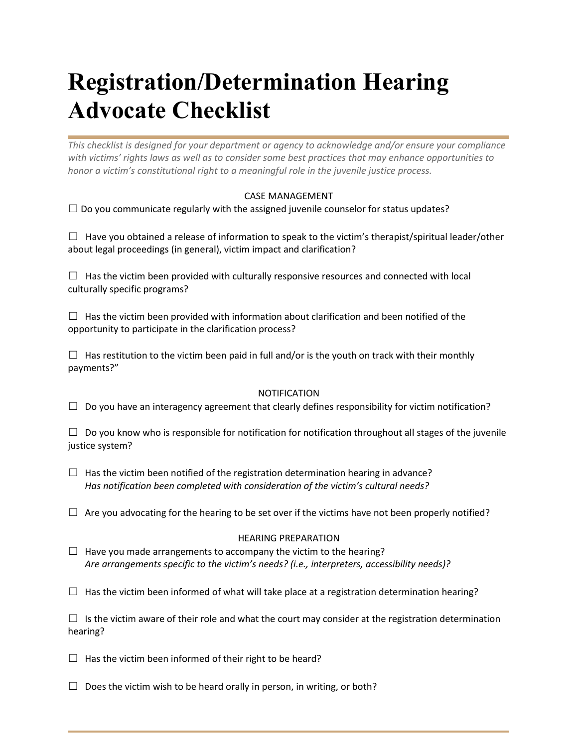## **Registration/Determination Hearing Advocate Checklist**

*This checklist is designed for your department or agency to acknowledge and/or ensure your compliance with victims' rights laws as well as to consider some best practices that may enhance opportunities to honor a victim's constitutional right to a meaningful role in the juvenile justice process.* 

## CASE MANAGEMENT

 $\Box$  Do you communicate regularly with the assigned juvenile counselor for status updates?

 $\Box$  Have you obtained a release of information to speak to the victim's therapist/spiritual leader/other about legal proceedings (in general), victim impact and clarification?

 $\Box$  Has the victim been provided with culturally responsive resources and connected with local culturally specific programs?

 $\Box$  Has the victim been provided with information about clarification and been notified of the opportunity to participate in the clarification process?

 $\Box$  Has restitution to the victim been paid in full and/or is the youth on track with their monthly payments?"

## NOTIFICATION

 $\Box$  Do you have an interagency agreement that clearly defines responsibility for victim notification?

 $\Box$  Do you know who is responsible for notification for notification throughout all stages of the juvenile justice system?

- $\Box$  Has the victim been notified of the registration determination hearing in advance? *Has notification been completed with consideration of the victim's cultural needs?*
- $\Box$  Are you advocating for the hearing to be set over if the victims have not been properly notified?

## HEARING PREPARATION

 $\Box$  Have you made arrangements to accompany the victim to the hearing?  *Are arrangements specific to the victim's needs? (i.e., interpreters, accessibility needs)?* 

 $\Box$  Has the victim been informed of what will take place at a registration determination hearing?

 $\Box$  Is the victim aware of their role and what the court may consider at the registration determination hearing?

 $\Box$  Has the victim been informed of their right to be heard?

 $\Box$  Does the victim wish to be heard orally in person, in writing, or both?